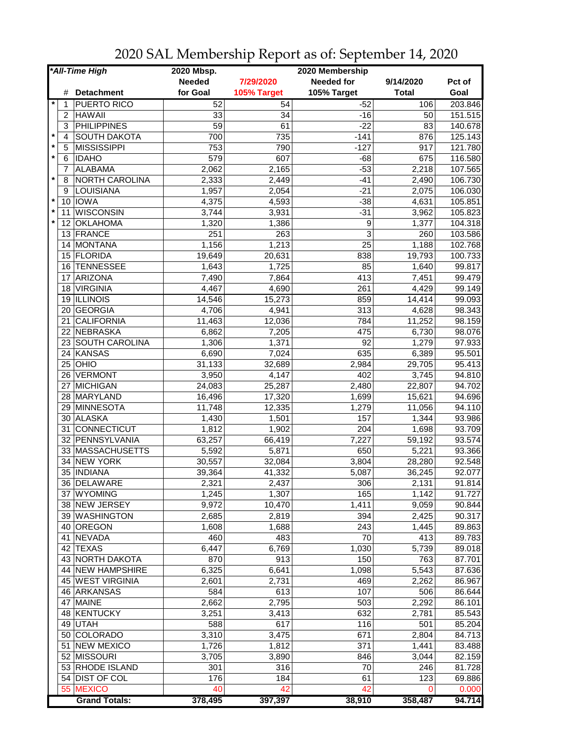|         |                | *All-Time High       | 2020 Mbsp.    |             | 2020 Membership   |              |         |
|---------|----------------|----------------------|---------------|-------------|-------------------|--------------|---------|
|         |                |                      | <b>Needed</b> | 7/29/2020   | <b>Needed for</b> | 9/14/2020    | Pct of  |
|         | #              | <b>Detachment</b>    | for Goal      | 105% Target | 105% Target       | <b>Total</b> | Goal    |
|         | 1              | <b>PUERTO RICO</b>   | 52            | 54          | $-52$             | 106          | 203.846 |
|         | $\overline{c}$ | <b>HAWAII</b>        | 33            | 34          | $-16$             | 50           | 151.515 |
|         | 3              | <b>PHILIPPINES</b>   | 59            | 61          | $-22$             | 83           | 140.678 |
| $\star$ | 4              | <b>SOUTH DAKOTA</b>  | 700           | 735         | $-141$            | 876          | 125.143 |
| $\star$ | 5              | <b>MISSISSIPPI</b>   | 753           | 790         | $-127$            | 917          | 121.780 |
| $\star$ | 6              | <b>IDAHO</b>         | 579           | 607         | $-68$             | 675          | 116.580 |
|         | 7              | <b>ALABAMA</b>       | 2,062         | 2,165       | $-53$             | 2,218        | 107.565 |
| $\star$ | 8              | NORTH CAROLINA       | 2,333         | 2,449       | $-41$             | 2,490        | 106.730 |
|         | 9              | LOUISIANA            | 1,957         | 2,054       | $-21$             | 2,075        | 106.030 |
| $\star$ |                | 10 IOWA              | 4,375         | 4,593       | $-38$             | 4,631        | 105.851 |
| $\ast$  | 11             | <b>WISCONSIN</b>     | 3,744         | 3,931       | $-31$             | 3,962        | 105.823 |
| $\star$ | 12             | OKLAHOMA             | 1,320         | 1,386       | 9                 | 1,377        | 104.318 |
|         |                | 13 FRANCE            | 251           | 263         | 3                 | 260          | 103.586 |
|         | 14             | MONTANA              | 1,156         | 1,213       | 25                | 1,188        | 102.768 |
|         | 15             | FLORIDA              | 19,649        | 20,631      | 838               | 19,793       | 100.733 |
|         | 16             | <b>TENNESSEE</b>     | 1,643         | 1,725       | 85                | 1,640        | 99.817  |
|         | 17             | ARIZONA              | 7,490         | 7,864       | 413               | 7,451        | 99.479  |
|         | 18             | <b>VIRGINIA</b>      | 4,467         | 4,690       | 261               | 4,429        | 99.149  |
|         | 19             | <b>ILLINOIS</b>      | 14,546        | 15,273      | 859               | 14,414       | 99.093  |
|         | 20             | <b>GEORGIA</b>       | 4,706         | 4,941       | 313               | 4,628        | 98.343  |
|         | 21             | <b>CALIFORNIA</b>    | 11,463        | 12,036      | 784               | 11,252       | 98.159  |
|         | 22             | NEBRASKA             | 6,862         | 7,205       | 475               | 6,730        | 98.076  |
|         | 23             | SOUTH CAROLINA       | 1,306         | 1,371       | $\overline{92}$   | 1,279        | 97.933  |
|         | 24             | KANSAS               | 6,690         | 7,024       | 635               | 6,389        | 95.501  |
|         | 25             | <b>OHIO</b>          | 31,133        | 32,689      | 2,984             | 29,705       | 95.413  |
|         | 26             | <b>VERMONT</b>       | 3,950         | 4,147       | 402               | 3,745        | 94.810  |
|         | 27             | MICHIGAN             | 24,083        | 25,287      | 2,480             | 22,807       | 94.702  |
|         | 28             | <b>MARYLAND</b>      | 16,496        | 17,320      | 1,699             | 15,621       | 94.696  |
|         |                | 29 MINNESOTA         | 11,748        | 12,335      | 1,279             | 11,056       | 94.110  |
|         | 30             | <b>ALASKA</b>        | 1,430         | 1,501       | 157               | 1,344        | 93.986  |
|         | 31             | <b>CONNECTICUT</b>   | 1,812         | 1,902       | 204               | 1,698        | 93.709  |
|         | 32             | PENNSYLVANIA         | 63,257        | 66,419      | 7,227             | 59,192       | 93.574  |
|         | 33             | MASSACHUSETTS        | 5,592         | 5,871       | 650               | 5,221        | 93.366  |
|         | 34             | <b>NEW YORK</b>      | 30,557        | 32,084      | 3,804             | 28,280       | 92.548  |
|         |                | 35 INDIANA           | 39,364        | 41,332      | 5,087             | 36,245       | 92.077  |
|         |                | 36 DELAWARE          | 2,321         | 2,437       | 306               | 2,131        | 91.814  |
|         |                | 37 WYOMING           | 1,245         | 1,307       | 165               | 1,142        | 91.727  |
|         |                | 38 NEW JERSEY        | 9,972         | 10,470      | 1,411             | 9,059        | 90.844  |
|         |                | 39 WASHINGTON        | 2,685         | 2,819       | 394               | 2,425        | 90.317  |
|         | 40             | OREGON               | 1,608         | 1,688       | 243               | 1,445        | 89.863  |
|         |                | 41 NEVADA            | 460           | 483         | 70                | 413          | 89.783  |
|         |                | 42 TEXAS             | 6,447         | 6,769       | 1,030             | 5,739        | 89.018  |
|         |                | 43 NORTH DAKOTA      | 870           | 913         | 150               | 763          | 87.701  |
|         |                | 44 NEW HAMPSHIRE     | 6,325         | 6,641       | 1,098             | 5,543        | 87.636  |
|         |                | 45 WEST VIRGINIA     | 2,601         | 2,731       | 469               | 2,262        | 86.967  |
|         |                | 46 ARKANSAS          | 584           | 613         | 107               | 506          | 86.644  |
|         |                | 47 MAINE             | 2,662         | 2,795       | 503               | 2,292        | 86.101  |
|         |                | 48 KENTUCKY          | 3,251         | 3,413       | 632               | 2,781        | 85.543  |
|         |                | 49 UTAH              | 588           | 617         | 116               | 501          | 85.204  |
|         |                | 50 COLORADO          | 3,310         | 3,475       | 671               | 2,804        | 84.713  |
|         |                | 51 NEW MEXICO        | 1,726         | 1,812       | 371               | 1,441        | 83.488  |
|         |                | 52 MISSOURI          | 3,705         | 3,890       | 846               | 3,044        | 82.159  |
|         |                | 53 RHODE ISLAND      | 301           | 316         | 70                | 246          | 81.728  |
|         |                | 54 DIST OF COL       | 176           | 184         |                   | 123          | 69.886  |
|         |                | 55 MEXICO            | 40            | 42          | 61<br>42          | 0            | 0.000   |
|         |                | <b>Grand Totals:</b> | 378,495       | 397,397     | 38,910            | 358,487      | 94.714  |

2020 SAL Membership Report as of: September 14, 2020